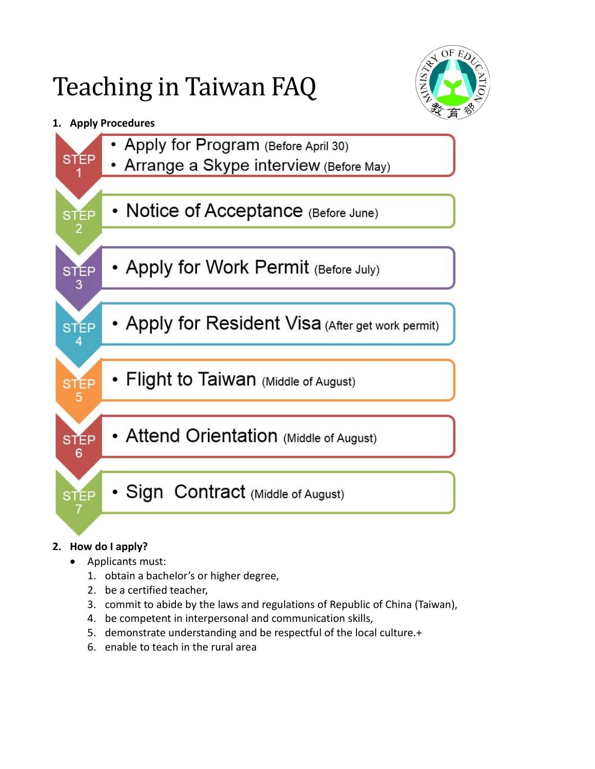# Teaching in Taiwan FAQ



## **1. Apply Procedures**



### **2. How do I apply?**

- Applicants must:
	- 1. obtain a bachelor's or higher degree,
	- 2. be a certified teacher,
	- 3. commit to abide by the laws and regulations of Republic of China (Taiwan),
	- 4. be competent in interpersonal and communication skills,
	- 5. demonstrate understanding and be respectful of the local culture.+
	- 6. enable to teach in the rural area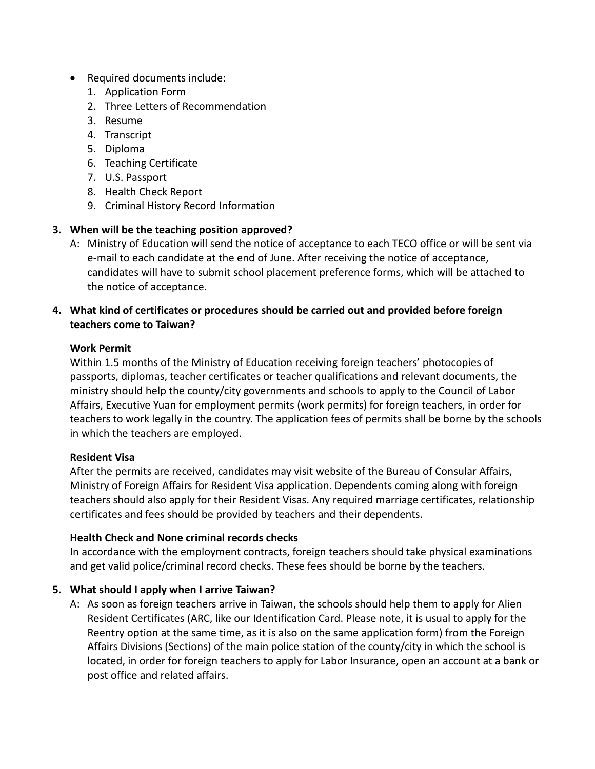- Required documents include:
	- 1. Application Form
	- 2. Three Letters of Recommendation
	- 3. Resume
	- 4. Transcript
	- 5. Diploma
	- 6. Teaching Certificate
	- 7. U.S. Passport
	- 8. Health Check Report
	- 9. Criminal History Record Information

#### **3. When will be the teaching position approved?**

A: Ministry of Education will send the notice of acceptance to each TECO office or will be sent via e-mail to each candidate at the end of June. After receiving the notice of acceptance, candidates will have to submit school placement preference forms, which will be attached to the notice of acceptance.

#### **4. What kind of certificates or procedures should be carried out and provided before foreign teachers come to Taiwan?**

#### **Work Permit**

Within 1.5 months of the Ministry of Education receiving foreign teachers' photocopies of passports, diplomas, teacher certificates or teacher qualifications and relevant documents, the ministry should help the county/city governments and schools to apply to the Council of Labor Affairs, Executive Yuan for employment permits (work permits) for foreign teachers, in order for teachers to work legally in the country. The application fees of permits shall be borne by the schools in which the teachers are employed.

#### **Resident Visa**

After the permits are received, candidates may visit website of the Bureau of Consular Affairs, Ministry of Foreign Affairs for Resident Visa application. Dependents coming along with foreign teachers should also apply for their Resident Visas. Any required marriage certificates, relationship certificates and fees should be provided by teachers and their dependents.

#### **Health Check and None criminal records checks**

In accordance with the employment contracts, foreign teachers should take physical examinations and get valid police/criminal record checks. These fees should be borne by the teachers.

#### **5. What should I apply when I arrive Taiwan?**

A: As soon as foreign teachers arrive in Taiwan, the schools should help them to apply for Alien Resident Certificates (ARC, like our Identification Card. Please note, it is usual to apply for the Reentry option at the same time, as it is also on the same application form) from the Foreign Affairs Divisions (Sections) of the main police station of the county/city in which the school is located, in order for foreign teachers to apply for Labor Insurance, open an account at a bank or post office and related affairs.